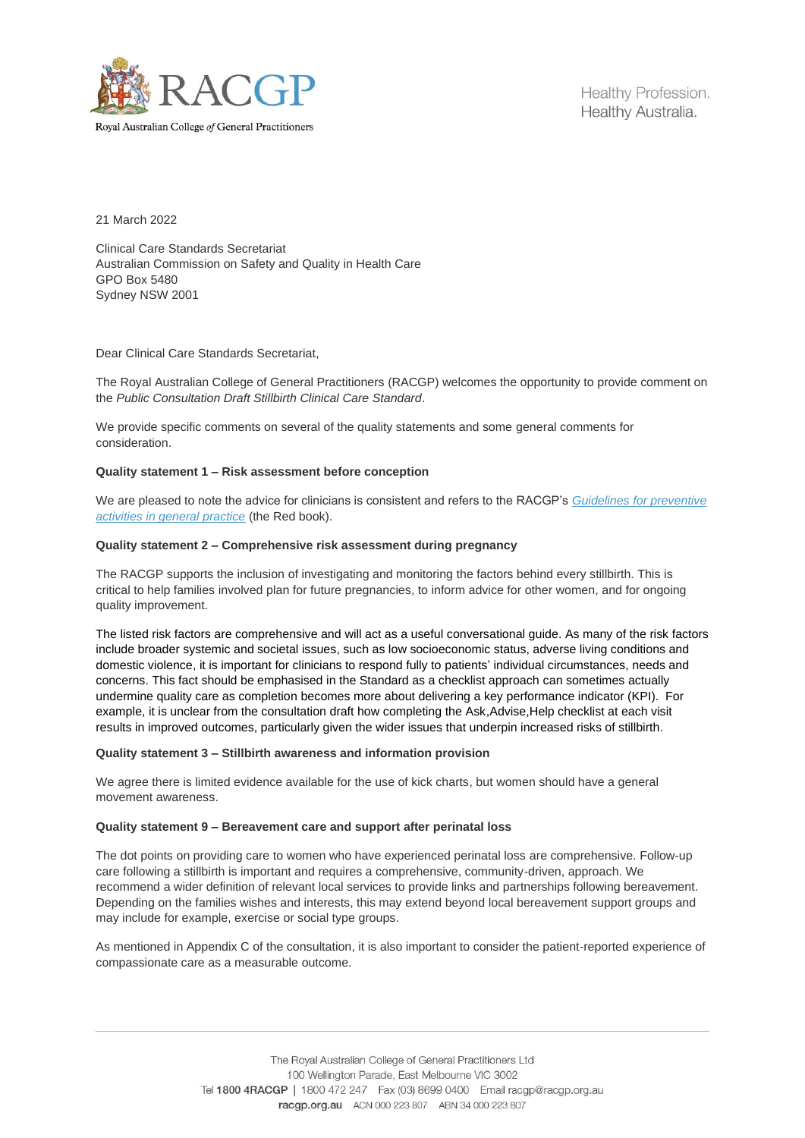

Royal Australian College of General Practitioners

Healthy Profession. Healthy Australia.

21 March 2022

Clinical Care Standards Secretariat Australian Commission on Safety and Quality in Health Care GPO Box 5480 Sydney NSW 2001

Dear Clinical Care Standards Secretariat,

The Royal Australian College of General Practitioners (RACGP) welcomes the opportunity to provide comment on the *Public Consultation Draft Stillbirth Clinical Care Standard*.

We provide specific comments on several of the quality statements and some general comments for consideration.

## **Quality statement 1 – Risk assessment before conception**

We are pleased to note the advice for clinicians is consistent and refers to the RACGP's *[Guidelines for preventive](https://www.racgp.org.au/clinical-resources/clinical-guidelines/key-racgp-guidelines/view-all-racgp-guidelines/guidelines-for-preventive-activities-in-general-pr/preamble/introduction)  [activities in general practice](https://www.racgp.org.au/clinical-resources/clinical-guidelines/key-racgp-guidelines/view-all-racgp-guidelines/guidelines-for-preventive-activities-in-general-pr/preamble/introduction)* (the Red book).

#### **Quality statement 2 – Comprehensive risk assessment during pregnancy**

The RACGP supports the inclusion of investigating and monitoring the factors behind every stillbirth. This is critical to help families involved plan for future pregnancies, to inform advice for other women, and for ongoing quality improvement.

The listed risk factors are comprehensive and will act as a useful conversational guide. As many of the risk factors include broader systemic and societal issues, such as low socioeconomic status, adverse living conditions and domestic violence, it is important for clinicians to respond fully to patients' individual circumstances, needs and concerns. This fact should be emphasised in the Standard as a checklist approach can sometimes actually undermine quality care as completion becomes more about delivering a key performance indicator (KPI). For example, it is unclear from the consultation draft how completing the Ask,Advise,Help checklist at each visit results in improved outcomes, particularly given the wider issues that underpin increased risks of stillbirth.

#### **Quality statement 3 – Stillbirth awareness and information provision**

We agree there is limited evidence available for the use of kick charts, but women should have a general movement awareness.

## **Quality statement 9 – Bereavement care and support after perinatal loss**

The dot points on providing care to women who have experienced perinatal loss are comprehensive. Follow-up care following a stillbirth is important and requires a comprehensive, community-driven, approach. We recommend a wider definition of relevant local services to provide links and partnerships following bereavement. Depending on the families wishes and interests, this may extend beyond local bereavement support groups and may include for example, exercise or social type groups.

As mentioned in Appendix C of the consultation, it is also important to consider the patient-reported experience of compassionate care as a measurable outcome.